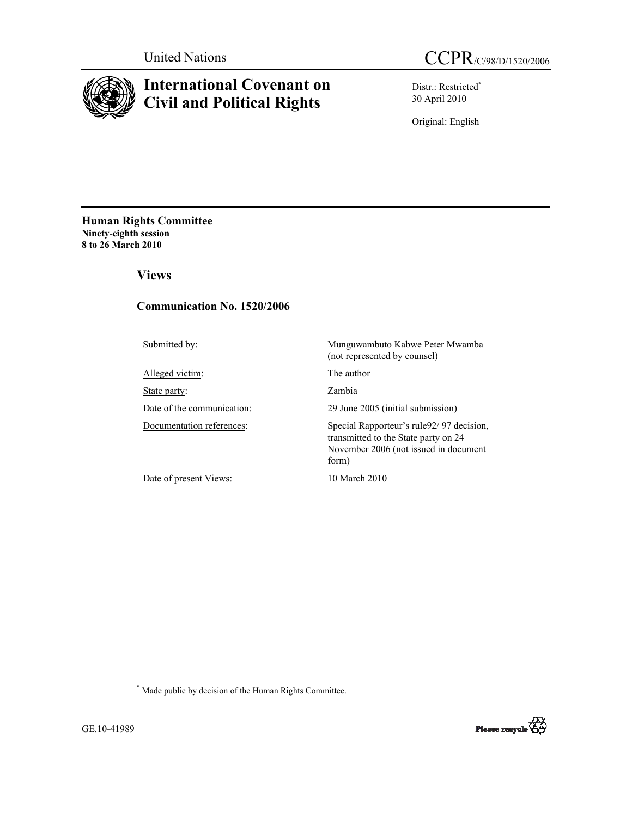

# **International Covenant on Civil and Political Rights**

Distr.: Restricted\* 30 April 2010

Original: English

**Human Rights Committee Ninety-eighth session 8 to 26 March 2010** 

 **Views** 

# **Communication No. 1520/2006**

Alleged victim: The author

State party: Zambia

Date of present Views: 10 March 2010

Submitted by: Munguwambuto Kabwe Peter Mwamba (not represented by counsel)

Date of the communication: 29 June 2005 (initial submission)

Documentation references: Special Rapporteur's rule92/97 decision, transmitted to the State party on 24 November 2006 (not issued in document form)

 \* Made public by decision of the Human Rights Committee.

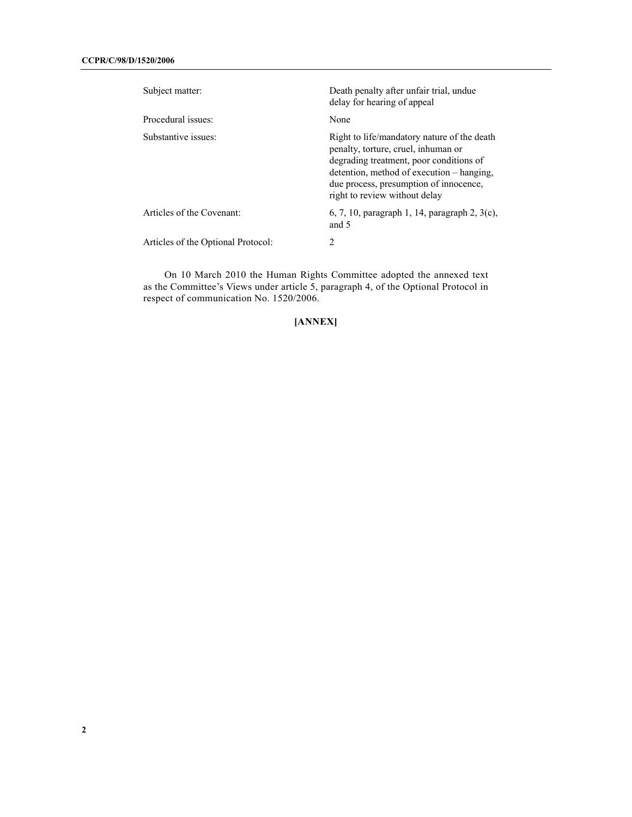| Subject matter:                    | Death penalty after unfair trial, undue<br>delay for hearing of appeal                                                                                                                                                                                |
|------------------------------------|-------------------------------------------------------------------------------------------------------------------------------------------------------------------------------------------------------------------------------------------------------|
| Procedural issues:                 | None                                                                                                                                                                                                                                                  |
| Substantive issues:                | Right to life/mandatory nature of the death<br>penalty, torture, cruel, inhuman or<br>degrading treatment, poor conditions of<br>detention, method of execution – hanging,<br>due process, presumption of innocence,<br>right to review without delay |
| Articles of the Covenant:          | 6, 7, 10, paragraph 1, 14, paragraph 2, $3(c)$ ,<br>and $5$                                                                                                                                                                                           |
| Articles of the Optional Protocol: | 2                                                                                                                                                                                                                                                     |

 On 10 March 2010 the Human Rights Committee adopted the annexed text as the Committee's Views under article 5, paragraph 4, of the Optional Protocol in respect of communication No. 1520/2006.

# **[ANNEX]**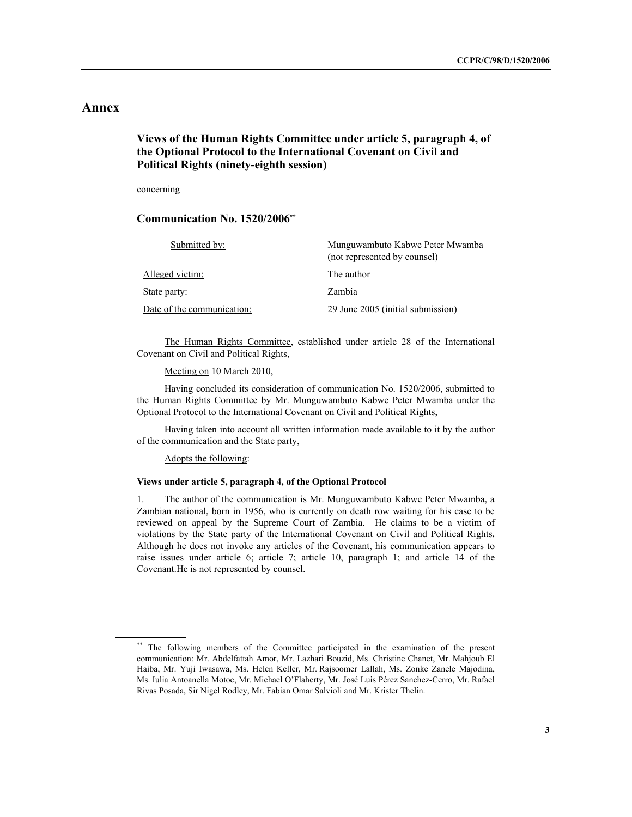# **Annex**

# **Views of the Human Rights Committee under article 5, paragraph 4, of the Optional Protocol to the International Covenant on Civil and Political Rights (ninety-eighth session)**

concerning

# **Communication No. 1520/2006\*\***

| Submitted by:              | Munguwambuto Kabwe Peter Mwamba<br>(not represented by counsel) |
|----------------------------|-----------------------------------------------------------------|
| Alleged victim:            | The author                                                      |
| State party:               | Zambia                                                          |
| Date of the communication: | 29 June 2005 (initial submission)                               |

The Human Rights Committee, established under article 28 of the International Covenant on Civil and Political Rights,

Meeting on 10 March 2010,

 Having concluded its consideration of communication No. 1520/2006, submitted to the Human Rights Committee by Mr. Munguwambuto Kabwe Peter Mwamba under the Optional Protocol to the International Covenant on Civil and Political Rights,

 Having taken into account all written information made available to it by the author of the communication and the State party,

Adopts the following:

# **Views under article 5, paragraph 4, of the Optional Protocol**

1. The author of the communication is Mr. Munguwambuto Kabwe Peter Mwamba, a Zambian national, born in 1956, who is currently on death row waiting for his case to be reviewed on appeal by the Supreme Court of Zambia. He claims to be a victim of violations by the State party of the International Covenant on Civil and Political Rights**.**  Although he does not invoke any articles of the Covenant, his communication appears to raise issues under article 6; article 7; article 10, paragraph 1; and article 14 of the Covenant.He is not represented by counsel.

<sup>\*\*</sup> The following members of the Committee participated in the examination of the present communication: Mr. Abdelfattah Amor, Mr. Lazhari Bouzid, Ms. Christine Chanet, Mr. Mahjoub El Haiba, Mr. Yuji Iwasawa, Ms. Helen Keller, Mr. Rajsoomer Lallah, Ms. Zonke Zanele Majodina, Ms. Iulia Antoanella Motoc, Mr. Michael O'Flaherty, Mr. José Luis Pérez Sanchez-Cerro, Mr. Rafael Rivas Posada, Sir Nigel Rodley, Mr. Fabian Omar Salvioli and Mr. Krister Thelin.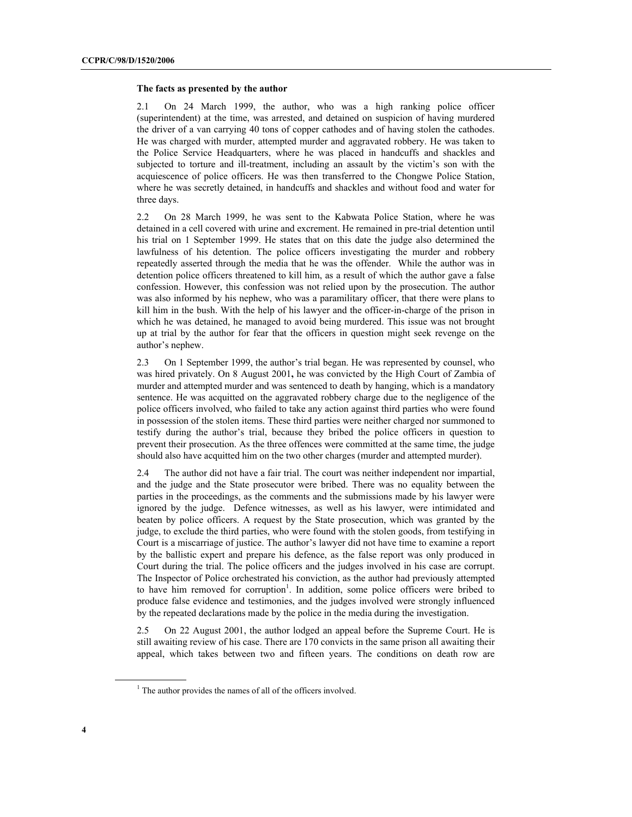#### **The facts as presented by the author**

2.1 On 24 March 1999, the author, who was a high ranking police officer (superintendent) at the time, was arrested, and detained on suspicion of having murdered the driver of a van carrying 40 tons of copper cathodes and of having stolen the cathodes. He was charged with murder, attempted murder and aggravated robbery. He was taken to the Police Service Headquarters, where he was placed in handcuffs and shackles and subjected to torture and ill-treatment, including an assault by the victim's son with the acquiescence of police officers. He was then transferred to the Chongwe Police Station, where he was secretly detained, in handcuffs and shackles and without food and water for three days.

2.2 On 28 March 1999, he was sent to the Kabwata Police Station, where he was detained in a cell covered with urine and excrement. He remained in pre-trial detention until his trial on 1 September 1999. He states that on this date the judge also determined the lawfulness of his detention. The police officers investigating the murder and robbery repeatedly asserted through the media that he was the offender. While the author was in detention police officers threatened to kill him, as a result of which the author gave a false confession. However, this confession was not relied upon by the prosecution. The author was also informed by his nephew, who was a paramilitary officer, that there were plans to kill him in the bush. With the help of his lawyer and the officer-in-charge of the prison in which he was detained, he managed to avoid being murdered. This issue was not brought up at trial by the author for fear that the officers in question might seek revenge on the author's nephew.

2.3 On 1 September 1999, the author's trial began. He was represented by counsel, who was hired privately. On 8 August 2001**,** he was convicted by the High Court of Zambia of murder and attempted murder and was sentenced to death by hanging, which is a mandatory sentence. He was acquitted on the aggravated robbery charge due to the negligence of the police officers involved, who failed to take any action against third parties who were found in possession of the stolen items. These third parties were neither charged nor summoned to testify during the author's trial, because they bribed the police officers in question to prevent their prosecution. As the three offences were committed at the same time, the judge should also have acquitted him on the two other charges (murder and attempted murder).

2.4 The author did not have a fair trial. The court was neither independent nor impartial, and the judge and the State prosecutor were bribed. There was no equality between the parties in the proceedings, as the comments and the submissions made by his lawyer were ignored by the judge. Defence witnesses, as well as his lawyer, were intimidated and beaten by police officers. A request by the State prosecution, which was granted by the judge, to exclude the third parties, who were found with the stolen goods, from testifying in Court is a miscarriage of justice. The author's lawyer did not have time to examine a report by the ballistic expert and prepare his defence, as the false report was only produced in Court during the trial. The police officers and the judges involved in his case are corrupt. The Inspector of Police orchestrated his conviction, as the author had previously attempted to have him removed for corruption<sup>1</sup>. In addition, some police officers were bribed to produce false evidence and testimonies, and the judges involved were strongly influenced by the repeated declarations made by the police in the media during the investigation.

2.5 On 22 August 2001, the author lodged an appeal before the Supreme Court. He is still awaiting review of his case. There are 170 convicts in the same prison all awaiting their appeal, which takes between two and fifteen years. The conditions on death row are

<sup>1</sup>  $<sup>1</sup>$  The author provides the names of all of the officers involved.</sup>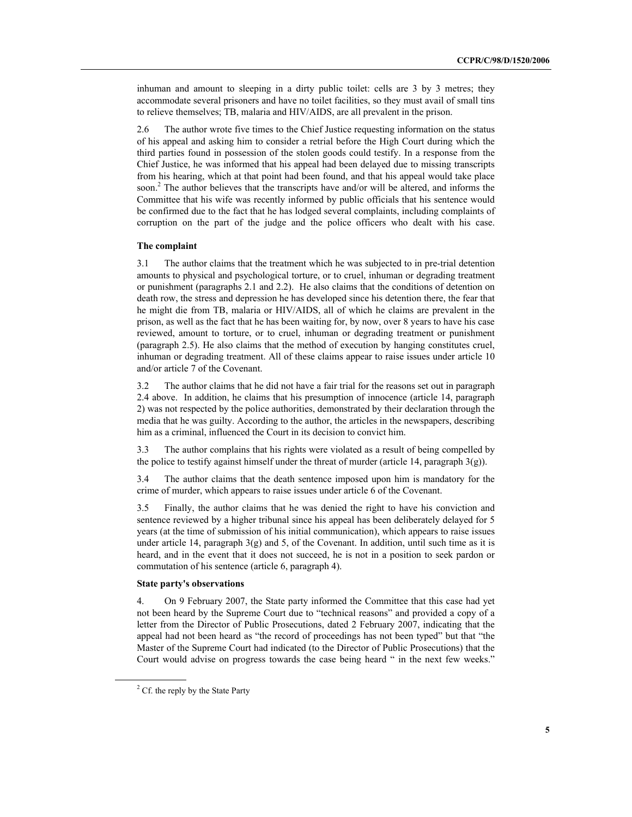inhuman and amount to sleeping in a dirty public toilet: cells are 3 by 3 metres; they accommodate several prisoners and have no toilet facilities, so they must avail of small tins to relieve themselves; TB, malaria and HIV/AIDS, are all prevalent in the prison.

2.6 The author wrote five times to the Chief Justice requesting information on the status of his appeal and asking him to consider a retrial before the High Court during which the third parties found in possession of the stolen goods could testify. In a response from the Chief Justice, he was informed that his appeal had been delayed due to missing transcripts from his hearing, which at that point had been found, and that his appeal would take place soon.<sup>2</sup> The author believes that the transcripts have and/or will be altered, and informs the Committee that his wife was recently informed by public officials that his sentence would be confirmed due to the fact that he has lodged several complaints, including complaints of corruption on the part of the judge and the police officers who dealt with his case.

### **The complaint**

3.1 The author claims that the treatment which he was subjected to in pre-trial detention amounts to physical and psychological torture, or to cruel, inhuman or degrading treatment or punishment (paragraphs 2.1 and 2.2). He also claims that the conditions of detention on death row, the stress and depression he has developed since his detention there, the fear that he might die from TB, malaria or HIV/AIDS, all of which he claims are prevalent in the prison, as well as the fact that he has been waiting for, by now, over 8 years to have his case reviewed, amount to torture, or to cruel, inhuman or degrading treatment or punishment (paragraph 2.5). He also claims that the method of execution by hanging constitutes cruel, inhuman or degrading treatment. All of these claims appear to raise issues under article 10 and/or article 7 of the Covenant.

3.2 The author claims that he did not have a fair trial for the reasons set out in paragraph 2.4 above. In addition, he claims that his presumption of innocence (article 14, paragraph 2) was not respected by the police authorities, demonstrated by their declaration through the media that he was guilty. According to the author, the articles in the newspapers, describing him as a criminal, influenced the Court in its decision to convict him.

3.3 The author complains that his rights were violated as a result of being compelled by the police to testify against himself under the threat of murder (article 14, paragraph  $3(g)$ ).

3.4 The author claims that the death sentence imposed upon him is mandatory for the crime of murder, which appears to raise issues under article 6 of the Covenant.

3.5 Finally, the author claims that he was denied the right to have his conviction and sentence reviewed by a higher tribunal since his appeal has been deliberately delayed for 5 years (at the time of submission of his initial communication), which appears to raise issues under article 14, paragraph 3(g) and 5, of the Covenant. In addition, until such time as it is heard, and in the event that it does not succeed, he is not in a position to seek pardon or commutation of his sentence (article 6, paragraph 4).

### **State party's observations**

4. On 9 February 2007, the State party informed the Committee that this case had yet not been heard by the Supreme Court due to "technical reasons" and provided a copy of a letter from the Director of Public Prosecutions, dated 2 February 2007, indicating that the appeal had not been heard as "the record of proceedings has not been typed" but that "the Master of the Supreme Court had indicated (to the Director of Public Prosecutions) that the Court would advise on progress towards the case being heard " in the next few weeks."

<sup>2</sup>  $2^2$  Cf. the reply by the State Party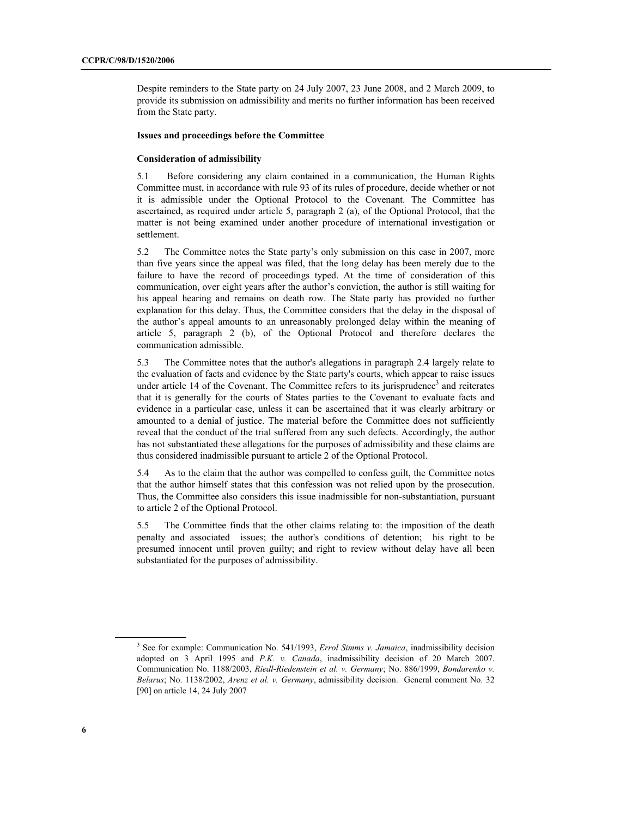Despite reminders to the State party on 24 July 2007, 23 June 2008, and 2 March 2009, to provide its submission on admissibility and merits no further information has been received from the State party.

### **Issues and proceedings before the Committee**

### **Consideration of admissibility**

5.1 Before considering any claim contained in a communication, the Human Rights Committee must, in accordance with rule 93 of its rules of procedure, decide whether or not it is admissible under the Optional Protocol to the Covenant. The Committee has ascertained, as required under article 5, paragraph 2 (a), of the Optional Protocol, that the matter is not being examined under another procedure of international investigation or settlement.

5.2 The Committee notes the State party's only submission on this case in 2007, more than five years since the appeal was filed, that the long delay has been merely due to the failure to have the record of proceedings typed. At the time of consideration of this communication, over eight years after the author's conviction, the author is still waiting for his appeal hearing and remains on death row. The State party has provided no further explanation for this delay. Thus, the Committee considers that the delay in the disposal of the author's appeal amounts to an unreasonably prolonged delay within the meaning of article 5, paragraph 2 (b), of the Optional Protocol and therefore declares the communication admissible.

5.3 The Committee notes that the author's allegations in paragraph 2.4 largely relate to the evaluation of facts and evidence by the State party's courts, which appear to raise issues under article 14 of the Covenant. The Committee refers to its jurisprudence<sup>3</sup> and reiterates that it is generally for the courts of States parties to the Covenant to evaluate facts and evidence in a particular case, unless it can be ascertained that it was clearly arbitrary or amounted to a denial of justice. The material before the Committee does not sufficiently reveal that the conduct of the trial suffered from any such defects. Accordingly, the author has not substantiated these allegations for the purposes of admissibility and these claims are thus considered inadmissible pursuant to article 2 of the Optional Protocol.

5.4 As to the claim that the author was compelled to confess guilt, the Committee notes that the author himself states that this confession was not relied upon by the prosecution. Thus, the Committee also considers this issue inadmissible for non-substantiation, pursuant to article 2 of the Optional Protocol.

5.5 The Committee finds that the other claims relating to: the imposition of the death penalty and associated issues; the author's conditions of detention; his right to be presumed innocent until proven guilty; and right to review without delay have all been substantiated for the purposes of admissibility.

<sup>3</sup> <sup>3</sup> See for example: Communication No. 541/1993, *Errol Simms v. Jamaica*, inadmissibility decision adopted on 3 April 1995 and *P.K. v. Canada*, inadmissibility decision of 20 March 2007. Communication No. 1188/2003, *Riedl-Riedenstein et al. v. Germany*; No. 886/1999, *Bondarenko v. Belarus*; No. 1138/2002, *Arenz et al. v. Germany*, admissibility decision. General comment No. 32 [90] on article 14, 24 July 2007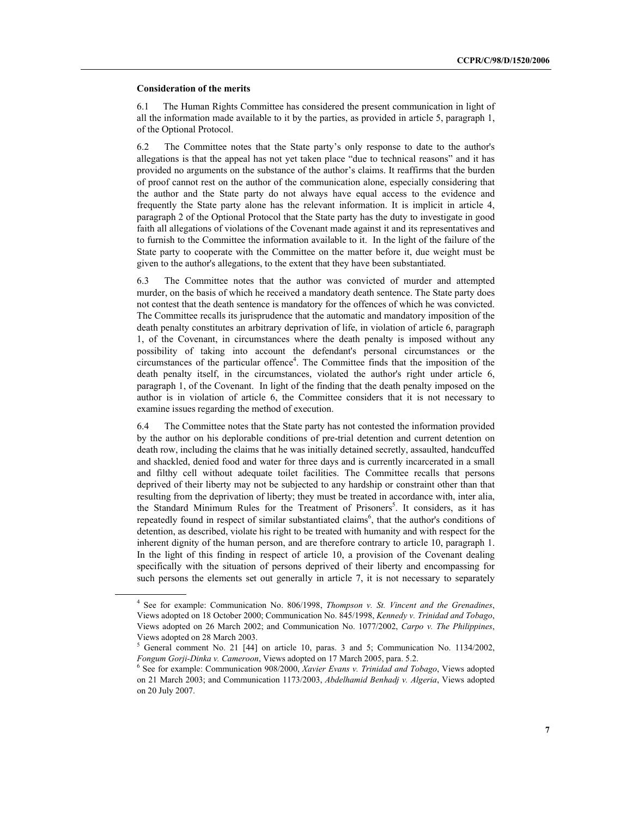#### **Consideration of the merits**

6.1 The Human Rights Committee has considered the present communication in light of all the information made available to it by the parties, as provided in article 5, paragraph 1, of the Optional Protocol.

6.2 The Committee notes that the State party's only response to date to the author's allegations is that the appeal has not yet taken place "due to technical reasons" and it has provided no arguments on the substance of the author's claims. It reaffirms that the burden of proof cannot rest on the author of the communication alone, especially considering that the author and the State party do not always have equal access to the evidence and frequently the State party alone has the relevant information. It is implicit in article 4, paragraph 2 of the Optional Protocol that the State party has the duty to investigate in good faith all allegations of violations of the Covenant made against it and its representatives and to furnish to the Committee the information available to it. In the light of the failure of the State party to cooperate with the Committee on the matter before it, due weight must be given to the author's allegations, to the extent that they have been substantiated.

6.3 The Committee notes that the author was convicted of murder and attempted murder, on the basis of which he received a mandatory death sentence. The State party does not contest that the death sentence is mandatory for the offences of which he was convicted. The Committee recalls its jurisprudence that the automatic and mandatory imposition of the death penalty constitutes an arbitrary deprivation of life, in violation of article 6, paragraph 1, of the Covenant, in circumstances where the death penalty is imposed without any possibility of taking into account the defendant's personal circumstances or the circumstances of the particular offence<sup>4</sup>. The Committee finds that the imposition of the death penalty itself, in the circumstances, violated the author's right under article 6, paragraph 1, of the Covenant. In light of the finding that the death penalty imposed on the author is in violation of article 6, the Committee considers that it is not necessary to examine issues regarding the method of execution.

6.4 The Committee notes that the State party has not contested the information provided by the author on his deplorable conditions of pre-trial detention and current detention on death row, including the claims that he was initially detained secretly, assaulted, handcuffed and shackled, denied food and water for three days and is currently incarcerated in a small and filthy cell without adequate toilet facilities. The Committee recalls that persons deprived of their liberty may not be subjected to any hardship or constraint other than that resulting from the deprivation of liberty; they must be treated in accordance with, inter alia, the Standard Minimum Rules for the Treatment of Prisoners<sup>5</sup>. It considers, as it has repeatedly found in respect of similar substantiated claims<sup>6</sup>, that the author's conditions of detention, as described, violate his right to be treated with humanity and with respect for the inherent dignity of the human person, and are therefore contrary to article 10, paragraph 1. In the light of this finding in respect of article 10, a provision of the Covenant dealing specifically with the situation of persons deprived of their liberty and encompassing for such persons the elements set out generally in article 7, it is not necessary to separately

<sup>4</sup> <sup>4</sup> See for example: Communication No. 806/1998, *Thompson v. St. Vincent and the Grenadines*, Views adopted on 18 October 2000; Communication No. 845/1998, *Kennedy v. Trinidad and Tobago*, Views adopted on 26 March 2002; and Communication No. 1077/2002, *Carpo v. The Philippines*, Views adopted on 28 March 2003.

<sup>5</sup>  $5$  General comment No. 21 [44] on article 10, paras. 3 and 5; Communication No. 1134/2002, *Fongum Gorji-Dinka v. Cameroon*, Views adopted on 17 March 2005, para. 5.2.

<sup>6</sup> <sup>6</sup> See for example: Communication 908/2000, *Xavier Evans v. Trinidad and Tobago*, Views adopted on 21 March 2003; and Communication 1173/2003, *Abdelhamid Benhadj v. Algeria*, Views adopted on 20 July 2007.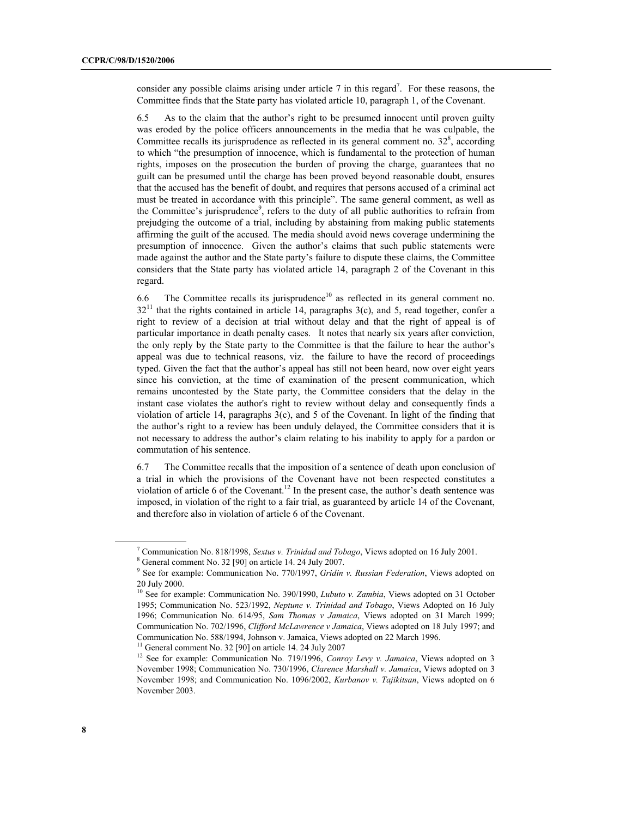consider any possible claims arising under article  $7$  in this regard<sup>7</sup>. For these reasons, the Committee finds that the State party has violated article 10, paragraph 1, of the Covenant.

6.5 As to the claim that the author's right to be presumed innocent until proven guilty was eroded by the police officers announcements in the media that he was culpable, the Committee recalls its jurisprudence as reflected in its general comment no.  $32<sup>8</sup>$ , according to which "the presumption of innocence, which is fundamental to the protection of human rights, imposes on the prosecution the burden of proving the charge, guarantees that no guilt can be presumed until the charge has been proved beyond reasonable doubt, ensures that the accused has the benefit of doubt, and requires that persons accused of a criminal act must be treated in accordance with this principle". The same general comment, as well as the Committee's jurisprudence<sup>9</sup>, refers to the duty of all public authorities to refrain from prejudging the outcome of a trial, including by abstaining from making public statements affirming the guilt of the accused. The media should avoid news coverage undermining the presumption of innocence. Given the author's claims that such public statements were made against the author and the State party's failure to dispute these claims, the Committee considers that the State party has violated article 14, paragraph 2 of the Covenant in this regard.

6.6 The Committee recalls its jurisprudence<sup>10</sup> as reflected in its general comment no.  $32<sup>11</sup>$  that the rights contained in article 14, paragraphs 3(c), and 5, read together, confer a right to review of a decision at trial without delay and that the right of appeal is of particular importance in death penalty cases. It notes that nearly six years after conviction, the only reply by the State party to the Committee is that the failure to hear the author's appeal was due to technical reasons, viz. the failure to have the record of proceedings typed. Given the fact that the author's appeal has still not been heard, now over eight years since his conviction, at the time of examination of the present communication, which remains uncontested by the State party, the Committee considers that the delay in the instant case violates the author's right to review without delay and consequently finds a violation of article 14, paragraphs 3(c), and 5 of the Covenant. In light of the finding that the author's right to a review has been unduly delayed, the Committee considers that it is not necessary to address the author's claim relating to his inability to apply for a pardon or commutation of his sentence.

6.7 The Committee recalls that the imposition of a sentence of death upon conclusion of a trial in which the provisions of the Covenant have not been respected constitutes a violation of article 6 of the Covenant.<sup>12</sup> In the present case, the author's death sentence was imposed, in violation of the right to a fair trial, as guaranteed by article 14 of the Covenant, and therefore also in violation of article 6 of the Covenant.

<sup>7</sup> Communication No. 818/1998, *Sextus v. Trinidad and Tobago*, Views adopted on 16 July 2001.

<sup>8</sup> General comment No. 32 [90] on article 14. 24 July 2007.

<sup>9</sup> <sup>9</sup> See for example: Communication No. 770/1997, *Gridin v. Russian Federation*, Views adopted on 20 July 2000.

<sup>&</sup>lt;sup>10</sup> See for example: Communication No. 390/1990, *Lubuto v. Zambia*, Views adopted on 31 October 1995; Communication No. 523/1992, *Neptune v. Trinidad and Tobago*, Views Adopted on 16 July 1996; Communication No. 614/95, *Sam Thomas v Jamaica*, Views adopted on 31 March 1999; Communication No. 702/1996, *Clifford McLawrence v Jamaica*, Views adopted on 18 July 1997; and Communication No. 588/1994, Johnson v. Jamaica, Views adopted on 22 March 1996.

<sup>&</sup>lt;sup>11</sup> General comment No. 32 [90] on article 14. 24 July 2007

<sup>&</sup>lt;sup>12</sup> See for example: Communication No. 719/1996, *Conroy Levy v. Jamaica*, Views adopted on 3 November 1998; Communication No. 730/1996, *Clarence Marshall v. Jamaica*, Views adopted on 3 November 1998; and Communication No. 1096/2002, *Kurbanov v. Tajikitsan*, Views adopted on 6 November 2003.